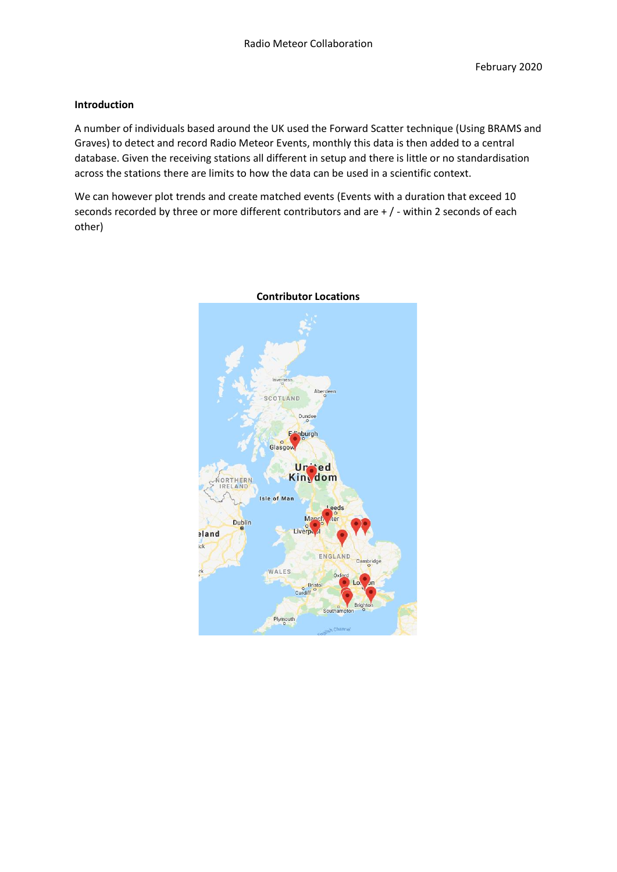## **Introduction**

A number of individuals based around the UK used the Forward Scatter technique (Using BRAMS and Graves) to detect and record Radio Meteor Events, monthly this data is then added to a central database. Given the receiving stations all different in setup and there is little or no standardisation across the stations there are limits to how the data can be used in a scientific context.

We can however plot trends and create matched events (Events with a duration that exceed 10 seconds recorded by three or more different contributors and are + / - within 2 seconds of each other)



### **Contributor Locations**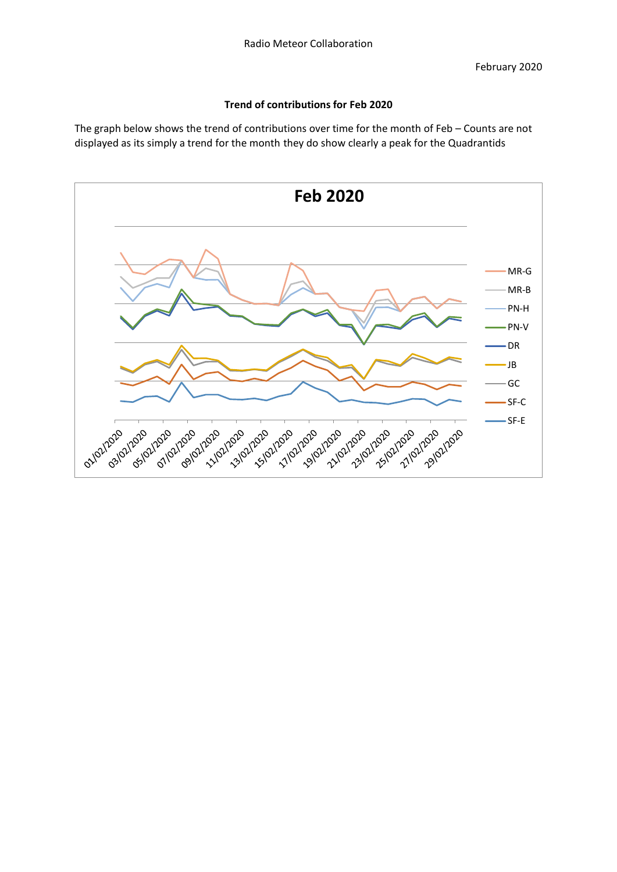# **Trend of contributions for Feb 2020**

The graph below shows the trend of contributions over time for the month of Feb – Counts are not displayed as its simply a trend for the month they do show clearly a peak for the Quadrantids

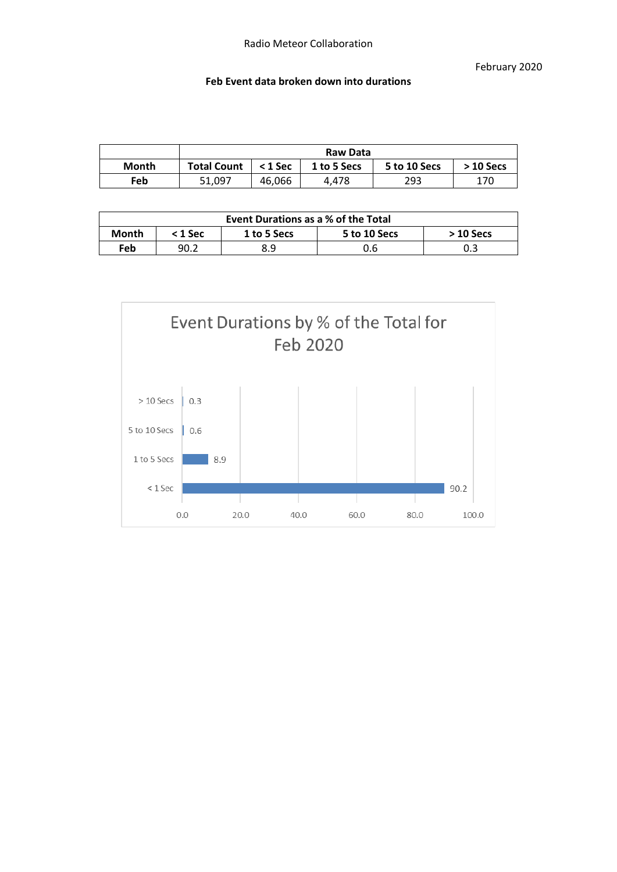### **Feb Event data broken down into durations**

|       | Raw Data           |           |             |              |            |  |  |
|-------|--------------------|-----------|-------------|--------------|------------|--|--|
| Month | <b>Total Count</b> | $<$ 1 Sec | 1 to 5 Secs | 5 to 10 Secs | $>10$ Secs |  |  |
| Feb   | 51.097             | 46,066    | 4.478       | 293          | 170        |  |  |

| Event Durations as a % of the Total |                                                        |     |     |     |  |  |  |
|-------------------------------------|--------------------------------------------------------|-----|-----|-----|--|--|--|
| Month                               | 5 to 10 Secs<br>1 to 5 Secs<br>$< 1$ Sec<br>$>10$ Secs |     |     |     |  |  |  |
| Feb                                 | 90.2                                                   | 8.9 | 0.6 | 0.3 |  |  |  |

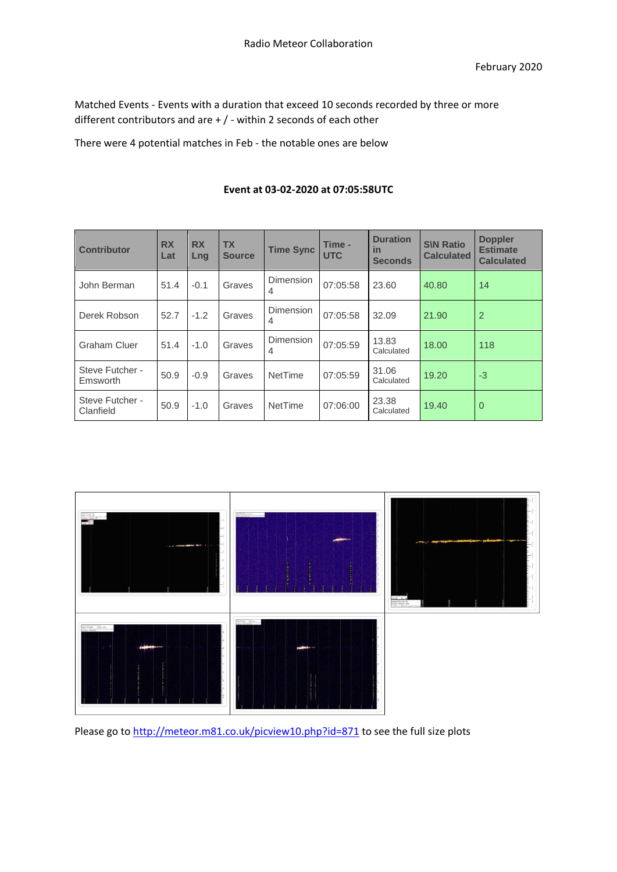Matched Events - Events with a duration that exceed 10 seconds recorded by three or more different contributors and are + / - within 2 seconds of each other

There were 4 potential matches in Feb - the notable ones are below

| <b>Contributor</b>           | <b>RX</b><br>Lat | <b>RX</b><br><b>Lng</b> | <b>TX</b><br><b>Source</b> | <b>Time Sync</b>                   | Time -<br><b>UTC</b> | <b>Duration</b><br>in<br><b>Seconds</b> | <b>S\N Ratio</b><br><b>Calculated</b> | <b>Doppler</b><br><b>Estimate</b><br><b>Calculated</b> |
|------------------------------|------------------|-------------------------|----------------------------|------------------------------------|----------------------|-----------------------------------------|---------------------------------------|--------------------------------------------------------|
| John Berman                  | 51.4             | $-0.1$                  | Graves                     | <b>Dimension</b><br>4              | 07:05:58             | 23.60                                   | 40.80                                 | 14                                                     |
| Derek Robson                 | 52.7             | $-1.2$                  | Graves                     | <b>Dimension</b><br>4              | 07:05:58             | 32.09                                   | 21.90                                 | $\overline{2}$                                         |
| <b>Graham Cluer</b>          | 51.4             | $-1.0$                  | Graves                     | <b>Dimension</b><br>$\overline{4}$ | 07:05:59             | 13.83<br>Calculated                     | 18.00                                 | 118                                                    |
| Steve Futcher -<br>Emsworth  | 50.9             | $-0.9$                  | Graves                     | <b>NetTime</b>                     | 07:05:59             | 31.06<br>Calculated                     | 19.20                                 | $-3$                                                   |
| Steve Futcher -<br>Clanfield | 50.9             | $-1.0$                  | Graves                     | <b>NetTime</b>                     | 07:06:00             | 23.38<br>Calculated                     | 19.40                                 | $\overline{0}$                                         |

# **Event at 03-02-2020 at 07:05:58UTC**



Please go to<http://meteor.m81.co.uk/picview10.php?id=871> to see the full size plots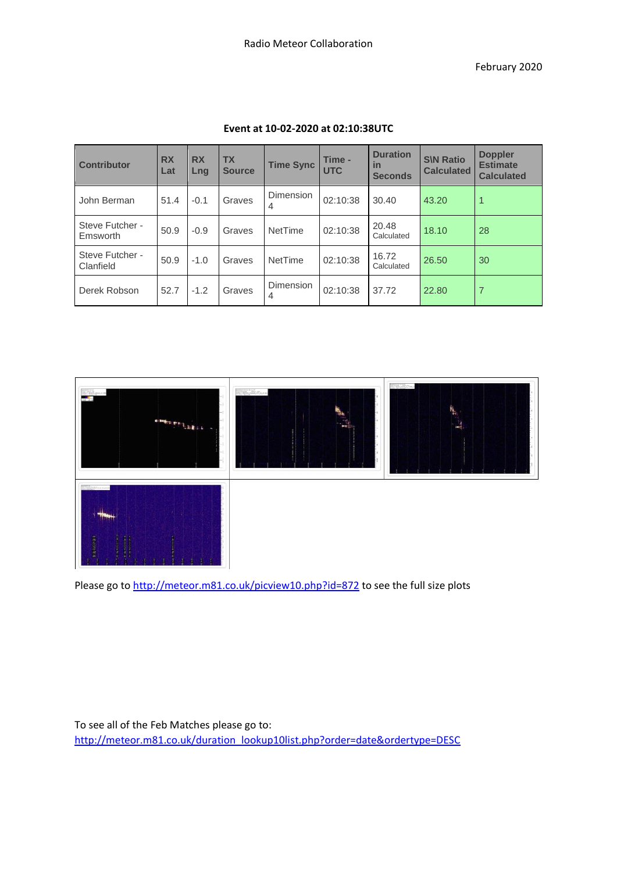February 2020

| <b>Contributor</b>           | <b>RX</b><br>Lat | <b>RX</b><br>Lng | <b>TX</b><br><b>Source</b> | <b>Time Sync</b> | Time -<br><b>UTC</b> | <b>Duration</b><br><i>in</i><br><b>Seconds</b> | <b>S\N Ratio</b><br><b>Calculated</b> | <b>Doppler</b><br><b>Estimate</b><br><b>Calculated</b> |
|------------------------------|------------------|------------------|----------------------------|------------------|----------------------|------------------------------------------------|---------------------------------------|--------------------------------------------------------|
| John Berman                  | 51.4             | $-0.1$           | Graves                     | Dimension<br>4   | 02:10:38             | 30.40                                          | 43.20                                 |                                                        |
| Steve Futcher -<br>Emsworth  | 50.9             | $-0.9$           | Graves                     | NetTime          | 02:10:38             | 20.48<br>Calculated                            | 18.10                                 | 28                                                     |
| Steve Futcher -<br>Clanfield | 50.9             | $-1.0$           | Graves                     | NetTime          | 02:10:38             | 16.72<br>Calculated                            | 26.50                                 | 30                                                     |
| Derek Robson                 | 52.7             | $-1.2$           | Graves                     | Dimension<br>4   | 02:10:38             | 37.72                                          | 22.80                                 |                                                        |

## **Event at 10-02-2020 at 02:10:38UTC**



Please go to<http://meteor.m81.co.uk/picview10.php?id=872> to see the full size plots

To see all of the Feb Matches please go to: [http://meteor.m81.co.uk/duration\\_lookup10list.php?order=date&ordertype=DESC](http://meteor.m81.co.uk/duration_lookup10list.php?order=date&ordertype=DESC)